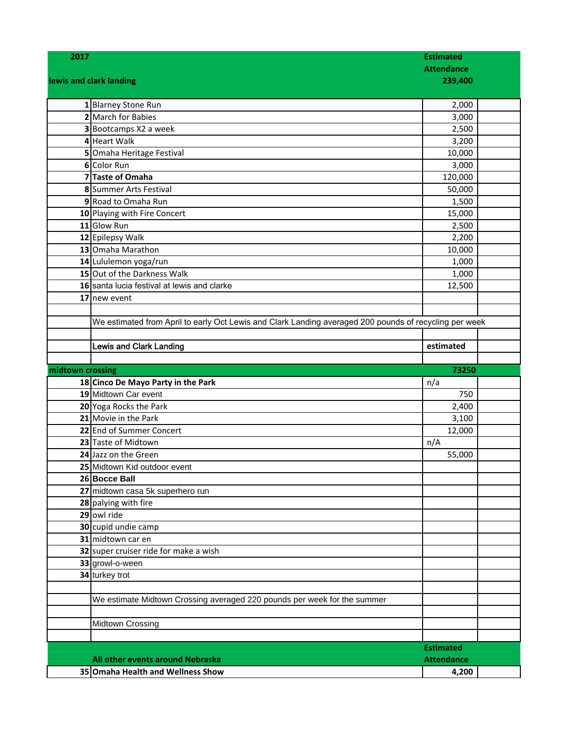| 2017             |                                                                                                        | <b>Estimated</b><br><b>Attendance</b> |  |
|------------------|--------------------------------------------------------------------------------------------------------|---------------------------------------|--|
|                  | lewis and clark landing                                                                                |                                       |  |
|                  |                                                                                                        | 239,400                               |  |
|                  | 1 Blarney Stone Run                                                                                    | 2,000                                 |  |
|                  | 2 March for Babies                                                                                     | 3,000                                 |  |
|                  | 3 Bootcamps X2 a week                                                                                  | 2,500                                 |  |
|                  | 4 Heart Walk                                                                                           | 3,200                                 |  |
|                  | 5 Omaha Heritage Festival                                                                              | 10,000                                |  |
|                  | 6 Color Run                                                                                            | 3,000                                 |  |
|                  | 7 Taste of Omaha                                                                                       | 120,000                               |  |
|                  | 8 Summer Arts Festival                                                                                 | 50,000                                |  |
|                  | 9 Road to Omaha Run                                                                                    | 1,500                                 |  |
|                  | 10 Playing with Fire Concert                                                                           | 15,000                                |  |
|                  | 11 Glow Run                                                                                            | 2,500                                 |  |
|                  | 12 Epilepsy Walk                                                                                       | 2,200                                 |  |
|                  | 13 Omaha Marathon                                                                                      | 10,000                                |  |
|                  | 14 Lululemon yoga/run                                                                                  | 1,000                                 |  |
|                  | 15 Out of the Darkness Walk                                                                            | 1,000                                 |  |
|                  | 16 santa lucia festival at lewis and clarke                                                            | 12,500                                |  |
|                  | 17 new event                                                                                           |                                       |  |
|                  |                                                                                                        |                                       |  |
|                  | We estimated from April to early Oct Lewis and Clark Landing averaged 200 pounds of recycling per week |                                       |  |
|                  |                                                                                                        |                                       |  |
|                  | <b>Lewis and Clark Landing</b>                                                                         | estimated                             |  |
|                  |                                                                                                        |                                       |  |
|                  |                                                                                                        |                                       |  |
| midtown crossing |                                                                                                        | 73250                                 |  |
|                  | 18 Cinco De Mayo Party in the Park                                                                     | n/a                                   |  |
|                  | 19 Midtown Car event                                                                                   | 750                                   |  |
|                  | 20 Yoga Rocks the Park                                                                                 | 2,400                                 |  |
|                  | 21 Movie in the Park                                                                                   | 3,100                                 |  |
|                  | 22 End of Summer Concert                                                                               | 12,000                                |  |
|                  | 23 Taste of Midtown                                                                                    | n/A                                   |  |
|                  | 24 Jazz on the Green                                                                                   | 55,000                                |  |
|                  | 25 Midtown Kid outdoor event                                                                           |                                       |  |
|                  | 26 Bocce Ball                                                                                          |                                       |  |
|                  | 27 midtown casa 5k superhero run                                                                       |                                       |  |
|                  | 28 palying with fire                                                                                   |                                       |  |
|                  | 29 owl ride                                                                                            |                                       |  |
|                  | 30 cupid undie camp                                                                                    |                                       |  |
|                  | 31 midtown car en                                                                                      |                                       |  |
|                  | 32 super cruiser ride for make a wish                                                                  |                                       |  |
|                  | 33 growl-o-ween                                                                                        |                                       |  |
|                  | 34 turkey trot                                                                                         |                                       |  |
|                  |                                                                                                        |                                       |  |
|                  | We estimate Midtown Crossing averaged 220 pounds per week for the summer                               |                                       |  |
|                  | Midtown Crossing                                                                                       |                                       |  |
|                  |                                                                                                        |                                       |  |
|                  |                                                                                                        | <b>Estimated</b>                      |  |
|                  | All other events around Nebraska                                                                       | <b>Attendance</b>                     |  |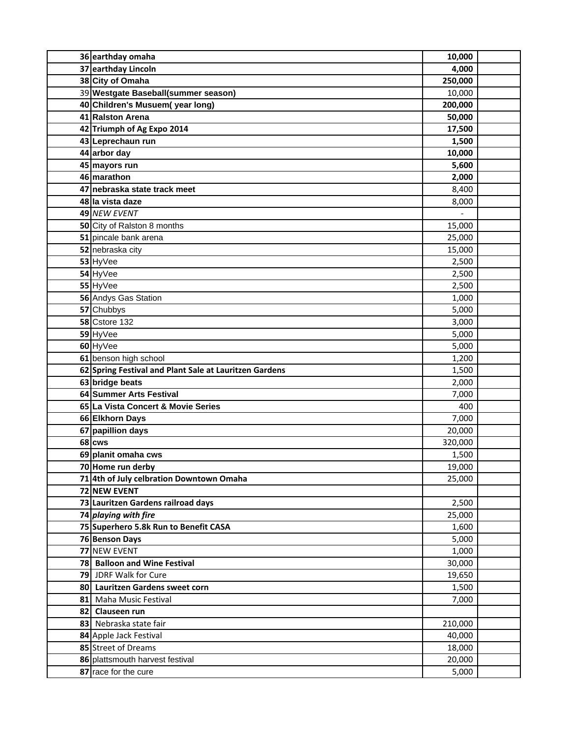| 36 earthday omaha                                      | 10,000  |  |
|--------------------------------------------------------|---------|--|
| 37 earthday Lincoln                                    | 4,000   |  |
| 38 City of Omaha                                       | 250,000 |  |
| 39 Westgate Baseball(summer season)                    | 10,000  |  |
| 40 Children's Musuem(year long)                        | 200,000 |  |
| 41 Ralston Arena                                       | 50,000  |  |
| 42 Triumph of Ag Expo 2014                             | 17,500  |  |
| 43 Leprechaun run                                      | 1,500   |  |
| 44 arbor day                                           | 10,000  |  |
| 45 mayors run                                          | 5,600   |  |
| 46 marathon                                            | 2,000   |  |
| 47 nebraska state track meet                           | 8,400   |  |
| 48 la vista daze                                       | 8,000   |  |
| 49 NEW EVENT                                           |         |  |
| 50 City of Ralston 8 months                            | 15,000  |  |
| 51 pincale bank arena                                  | 25,000  |  |
| 52 nebraska city                                       | 15,000  |  |
| 53 HyVee                                               | 2,500   |  |
| 54 HyVee                                               | 2,500   |  |
| 55 HyVee                                               | 2,500   |  |
| 56 Andys Gas Station                                   | 1,000   |  |
| 57 Chubbys                                             | 5,000   |  |
| <b>58 Cstore 132</b>                                   | 3,000   |  |
| 59 HyVee                                               | 5,000   |  |
| 60 HyVee                                               | 5,000   |  |
| 61 benson high school                                  | 1,200   |  |
| 62 Spring Festival and Plant Sale at Lauritzen Gardens | 1,500   |  |
| 63 bridge beats                                        | 2,000   |  |
| 64 Summer Arts Festival                                | 7,000   |  |
| 65 La Vista Concert & Movie Series                     | 400     |  |
| 66 Elkhorn Days                                        | 7,000   |  |
| 67 papillion days                                      | 20,000  |  |
| 68 cws                                                 | 320,000 |  |
| 69 planit omaha cws                                    | 1,500   |  |
| 70 Home run derby                                      | 19,000  |  |
| 71 4th of July celbration Downtown Omaha               | 25,000  |  |
| 72 NEW EVENT                                           |         |  |
| 73 Lauritzen Gardens railroad days                     | 2,500   |  |
| 74 playing with fire                                   | 25,000  |  |
| 75 Superhero 5.8k Run to Benefit CASA                  | 1,600   |  |
| 76 Benson Days                                         | 5,000   |  |
| 77 NEW EVENT                                           | 1,000   |  |
| 78 Balloon and Wine Festival                           | 30,000  |  |
| 79 JDRF Walk for Cure                                  | 19,650  |  |
| 80 Lauritzen Gardens sweet corn                        | 1,500   |  |
| 81 Maha Music Festival                                 | 7,000   |  |
| 82 Clauseen run                                        |         |  |
| 83 Nebraska state fair                                 | 210,000 |  |
| 84 Apple Jack Festival                                 | 40,000  |  |
| 85 Street of Dreams                                    | 18,000  |  |
| 86 plattsmouth harvest festival                        | 20,000  |  |
| 87 race for the cure                                   | 5,000   |  |